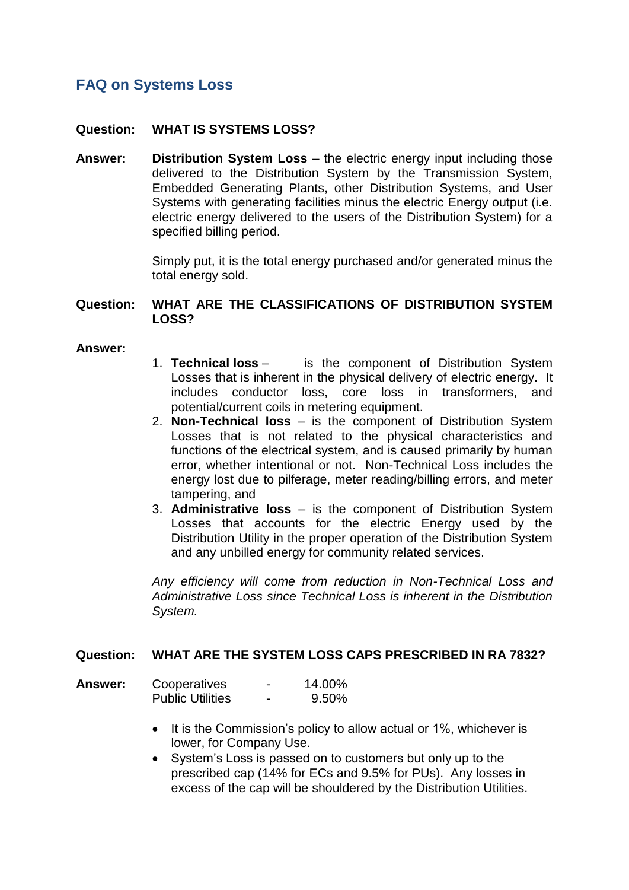# **FAQ on Systems Loss**

## **Question: WHAT IS SYSTEMS LOSS?**

**Answer: Distribution System Loss** – the electric energy input including those delivered to the Distribution System by the Transmission System, Embedded Generating Plants, other Distribution Systems, and User Systems with generating facilities minus the electric Energy output (i.e. electric energy delivered to the users of the Distribution System) for a specified billing period.

> Simply put, it is the total energy purchased and/or generated minus the total energy sold.

#### **Question: WHAT ARE THE CLASSIFICATIONS OF DISTRIBUTION SYSTEM LOSS?**

#### **Answer:**

- 1. **Technical loss** is the component of Distribution System Losses that is inherent in the physical delivery of electric energy. It includes conductor loss, core loss in transformers, and potential/current coils in metering equipment.
- 2. **Non-Technical loss** is the component of Distribution System Losses that is not related to the physical characteristics and functions of the electrical system, and is caused primarily by human error, whether intentional or not. Non-Technical Loss includes the energy lost due to pilferage, meter reading/billing errors, and meter tampering, and
- 3. **Administrative loss** is the component of Distribution System Losses that accounts for the electric Energy used by the Distribution Utility in the proper operation of the Distribution System and any unbilled energy for community related services.

*Any efficiency will come from reduction in Non-Technical Loss and Administrative Loss since Technical Loss is inherent in the Distribution System.*

### **Question: WHAT ARE THE SYSTEM LOSS CAPS PRESCRIBED IN RA 7832?**

| <b>Answer:</b> | Cooperatives            |   | 14.00% |
|----------------|-------------------------|---|--------|
|                | <b>Public Utilities</b> | - | 9.50%  |

- It is the Commission's policy to allow actual or 1%, whichever is lower, for Company Use.
- System's Loss is passed on to customers but only up to the prescribed cap (14% for ECs and 9.5% for PUs). Any losses in excess of the cap will be shouldered by the Distribution Utilities.